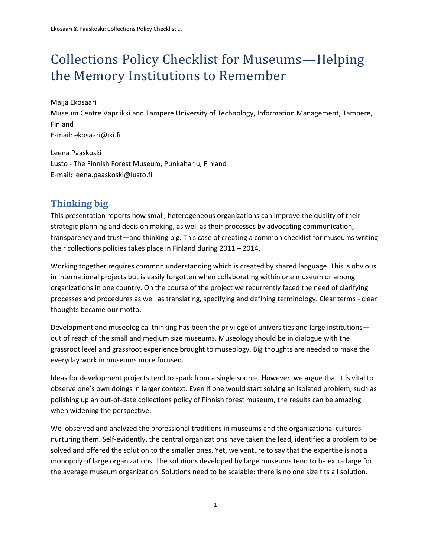# Collections Policy Checklist for Museums—Helping the Memory Institutions to Remember

Maija Ekosaari Museum Centre Vapriikki and Tampere University of Technology, Information Management, Tampere, Finland E-mail: ekosaari@iki.fi

Leena Paaskoski Lusto - The Finnish Forest Museum, Punkaharju, Finland E-mail: leena.paaskoski@lusto.fi

## **Thinking big**

This presentation reports how small, heterogeneous organizations can improve the quality of their strategic planning and decision making, as well as their processes by advocating communication, transparency and trust—and thinking big. This case of creating a common checklist for museums writing their collections policies takes place in Finland during 2011 – 2014.

Working together requires common understanding which is created by shared language. This is obvious in international projects but is easily forgotten when collaborating within one museum or among organizations in one country. On the course of the project we recurrently faced the need of clarifying processes and procedures as well as translating, specifying and defining terminology. Clear terms - clear thoughts became our motto.

Development and museological thinking has been the privilege of universities and large institutions out of reach of the small and medium size museums. Museology should be in dialogue with the grassroot level and grassroot experience brought to museology. Big thoughts are needed to make the everyday work in museums more focused.

Ideas for development projects tend to spark from a single source. However, we argue that it is vital to observe one's own doings in larger context. Even if one would start solving an isolated problem, such as polishing up an out-of-date collections policy of Finnish forest museum, the results can be amazing when widening the perspective.

We observed and analyzed the professional traditions in museums and the organizational cultures nurturing them. Self-evidently, the central organizations have taken the lead, identified a problem to be solved and offered the solution to the smaller ones. Yet, we venture to say that the expertise is not a monopoly of large organizations. The solutions developed by large museums tend to be extra large for the average museum organization. Solutions need to be scalable: there is no one size fits all solution.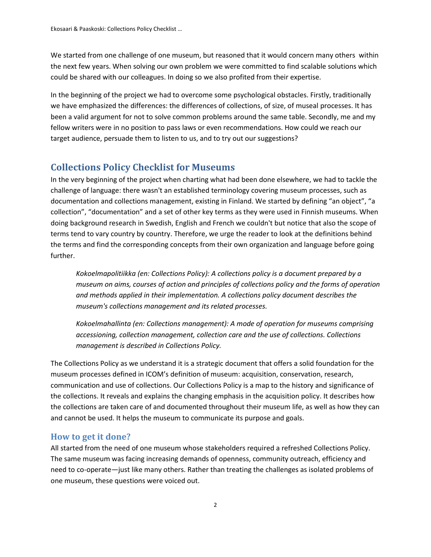We started from one challenge of one museum, but reasoned that it would concern many others within the next few years. When solving our own problem we were committed to find scalable solutions which could be shared with our colleagues. In doing so we also profited from their expertise.

In the beginning of the project we had to overcome some psychological obstacles. Firstly, traditionally we have emphasized the differences: the differences of collections, of size, of museal processes. It has been a valid argument for not to solve common problems around the same table. Secondly, me and my fellow writers were in no position to pass laws or even recommendations. How could we reach our target audience, persuade them to listen to us, and to try out our suggestions?

## **Collections Policy Checklist for Museums**

In the very beginning of the project when charting what had been done elsewhere, we had to tackle the challenge of language: there wasn't an established terminology covering museum processes, such as documentation and collections management, existing in Finland. We started by defining "an object", "a collection", "documentation" and a set of other key terms as they were used in Finnish museums. When doing background research in Swedish, English and French we couldn't but notice that also the scope of terms tend to vary country by country. Therefore, we urge the reader to look at the definitions behind the terms and find the corresponding concepts from their own organization and language before going further.

*Kokoelmapolitiikka (en: Collections Policy): A collections policy is a document prepared by a museum on aims, courses of action and principles of collections policy and the forms of operation and methods applied in their implementation. A collections policy document describes the museum's collections management and its related processes.*

*Kokoelmahallinta (en: Collections management): A mode of operation for museums comprising accessioning, collection management, collection care and the use of collections. Collections management is described in Collections Policy.* 

The Collections Policy as we understand it is a strategic document that offers a solid foundation for the museum processes defined in ICOM's definition of museum: acquisition, conservation, research, communication and use of collections. Our Collections Policy is a map to the history and significance of the collections. It reveals and explains the changing emphasis in the acquisition policy. It describes how the collections are taken care of and documented throughout their museum life, as well as how they can and cannot be used. It helps the museum to communicate its purpose and goals.

#### **How to get it done?**

All started from the need of one museum whose stakeholders required a refreshed Collections Policy. The same museum was facing increasing demands of openness, community outreach, efficiency and need to co-operate—just like many others. Rather than treating the challenges as isolated problems of one museum, these questions were voiced out.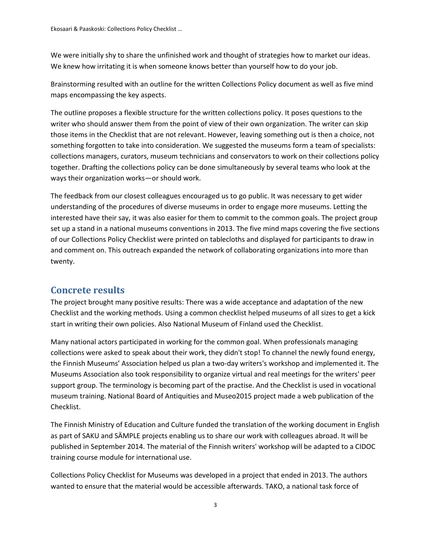We were initially shy to share the unfinished work and thought of strategies how to market our ideas. We knew how irritating it is when someone knows better than yourself how to do your job.

Brainstorming resulted with an outline for the written Collections Policy document as well as five mind maps encompassing the key aspects.

The outline proposes a flexible structure for the written collections policy. It poses questions to the writer who should answer them from the point of view of their own organization. The writer can skip those items in the Checklist that are not relevant. However, leaving something out is then a choice, not something forgotten to take into consideration. We suggested the museums form a team of specialists: collections managers, curators, museum technicians and conservators to work on their collections policy together. Drafting the collections policy can be done simultaneously by several teams who look at the ways their organization works—or should work.

The feedback from our closest colleagues encouraged us to go public. It was necessary to get wider understanding of the procedures of diverse museums in order to engage more museums. Letting the interested have their say, it was also easier for them to commit to the common goals. The project group set up a stand in a national museums conventions in 2013. The five mind maps covering the five sections of our Collections Policy Checklist were printed on tablecloths and displayed for participants to draw in and comment on. This outreach expanded the network of collaborating organizations into more than twenty.

#### **Concrete results**

The project brought many positive results: There was a wide acceptance and adaptation of the new Checklist and the working methods. Using a common checklist helped museums of all sizes to get a kick start in writing their own policies. Also National Museum of Finland used the Checklist.

Many national actors participated in working for the common goal. When professionals managing collections were asked to speak about their work, they didn't stop! To channel the newly found energy, the Finnish Museums' Association helped us plan a two-day writers's workshop and implemented it. The Museums Association also took responsibility to organize virtual and real meetings for the writers' peer support group. The terminology is becoming part of the practise. And the Checklist is used in vocational museum training. National Board of Antiquities and Museo2015 project made a web publication of the Checklist.

The Finnish Ministry of Education and Culture funded the translation of the working document in English as part of SAKU and SÄMPLE projects enabling us to share our work with colleagues abroad. It will be published in September 2014. The material of the Finnish writers' workshop will be adapted to a CIDOC training course module for international use.

Collections Policy Checklist for Museums was developed in a project that ended in 2013. The authors wanted to ensure that the material would be accessible afterwards. TAKO, a national task force of